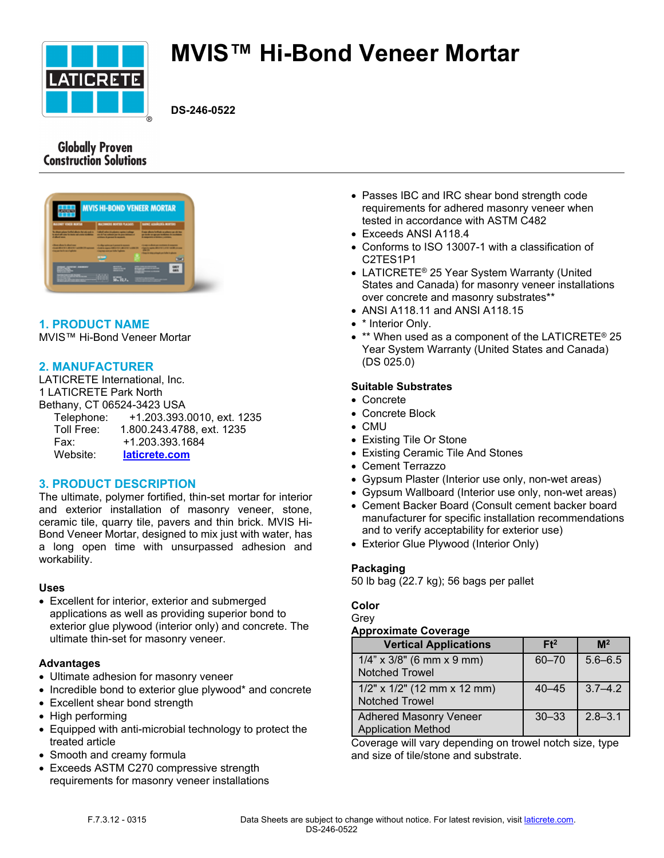

# **MVIS™ Hi-Bond Veneer Mortar**

**DS-246-0522**

# **Globally Proven Construction Solutions**

|                                                                                                                        | <b>MVIS HI-BOND VENEER MORTAR</b>                                                                                                                   |                                                                                                                             |
|------------------------------------------------------------------------------------------------------------------------|-----------------------------------------------------------------------------------------------------------------------------------------------------|-----------------------------------------------------------------------------------------------------------------------------|
| <b>BUILDING</b> FOREST BUSINE                                                                                          | <b>BACHNOTE ROETER PLACKOT</b>                                                                                                                      | tested administrations                                                                                                      |
| for all paintings that the data that and in-<br>for any of all some for more and comprehensive<br><b>Cultural come</b> | <b><i><u>Safe Francisco &amp; Advisory and the Confessor</u></i></b><br>are in The subset we thrown history of<br>actionals of personal diseases to | three about to that a school as at the<br>as rank or as un actions it contains.<br>A computers a relates a scholars         |
| <b>Chairman Arms &amp; Chairman</b><br>show all orders and order with the<br><b><i>Stage for his purhables</i></b>     | the fiber nation as from each income.<br>clusters express today in 1, 40 or \$1 years 28.<br><b>CONTINUES IN THE WAY THAT AND</b>                   | <b>Closed a short are compared a sewered</b><br>classic sale (\$103) (\$10) with a se-<br>. .<br><b>Change of Assistant</b> |
|                                                                                                                        |                                                                                                                                                     |                                                                                                                             |
|                                                                                                                        | $10 - 70.7$                                                                                                                                         |                                                                                                                             |
|                                                                                                                        |                                                                                                                                                     |                                                                                                                             |

# **1. PRODUCT NAME**

MVIS™ Hi-Bond Veneer Mortar

# **2. MANUFACTURER**

LATICRETE International, Inc. 1 LATICRETE Park North Bethany, CT 06524-3423 USA Telephone: +1.203.393.0010, ext. 1235 Toll Free: 1.800.243.4788, ext. 1235 Fax: +1.203.393.1684 Website: **[laticrete.com](https://laticrete.com/)**

# **3. PRODUCT DESCRIPTION**

The ultimate, polymer fortified, thin-set mortar for interior and exterior installation of masonry veneer, stone, ceramic tile, quarry tile, pavers and thin brick. MVIS Hi-Bond Veneer Mortar, designed to mix just with water, has a long open time with unsurpassed adhesion and workability.

#### **Uses**

• Excellent for interior, exterior and submerged applications as well as providing superior bond to exterior glue plywood (interior only) and concrete. The ultimate thin-set for masonry veneer.

#### **Advantages**

- Ultimate adhesion for masonry veneer
- Incredible bond to exterior glue plywood\* and concrete
- Excellent shear bond strength
- High performing
- Equipped with anti-microbial technology to protect the treated article
- Smooth and creamy formula
- Exceeds ASTM C270 compressive strength requirements for masonry veneer installations
- Passes IBC and IRC shear bond strength code requirements for adhered masonry veneer when tested in accordance with ASTM C482
- Exceeds ANSI A118.4
- Conforms to ISO 13007-1 with a classification of C2TES1P1
- LATICRETE<sup>®</sup> 25 Year System Warranty (United States and Canada) for masonry veneer installations over concrete and masonry substrates\*\*
- ANSI A118.11 and ANSI A118.15
- \* Interior Only.
- \*\* When used as a component of the LATICRETE® 25 Year System Warranty (United States and Canada) (DS 025.0)

# **Suitable Substrates**

- Concrete
- Concrete Block
- CMU
- Existing Tile Or Stone
- Existing Ceramic Tile And Stones
- Cement Terrazzo
- Gypsum Plaster (Interior use only, non-wet areas)
- Gypsum Wallboard (Interior use only, non-wet areas)
- Cement Backer Board (Consult cement backer board manufacturer for specific installation recommendations and to verify acceptability for exterior use)
- Exterior Glue Plywood (Interior Only)

# **Packaging**

50 lb bag (22.7 kg); 56 bags per pallet

#### **Color**

Grey

#### **Approximate Coverage**

| <b>Vertical Applications</b>                               | Ft <sup>2</sup> | M <sup>2</sup> |
|------------------------------------------------------------|-----------------|----------------|
| $1/4$ " x $3/8$ " (6 mm x 9 mm)<br><b>Notched Trowel</b>   | $60 - 70$       | $5.6 - 6.5$    |
| $1/2$ " x $1/2$ " (12 mm x 12 mm)<br><b>Notched Trowel</b> | $40 - 45$       | $3.7 - 4.2$    |
| <b>Adhered Masonry Veneer</b><br><b>Application Method</b> | $30 - 33$       | $2.8 - 3.1$    |

Coverage will vary depending on trowel notch size, type and size of tile/stone and substrate.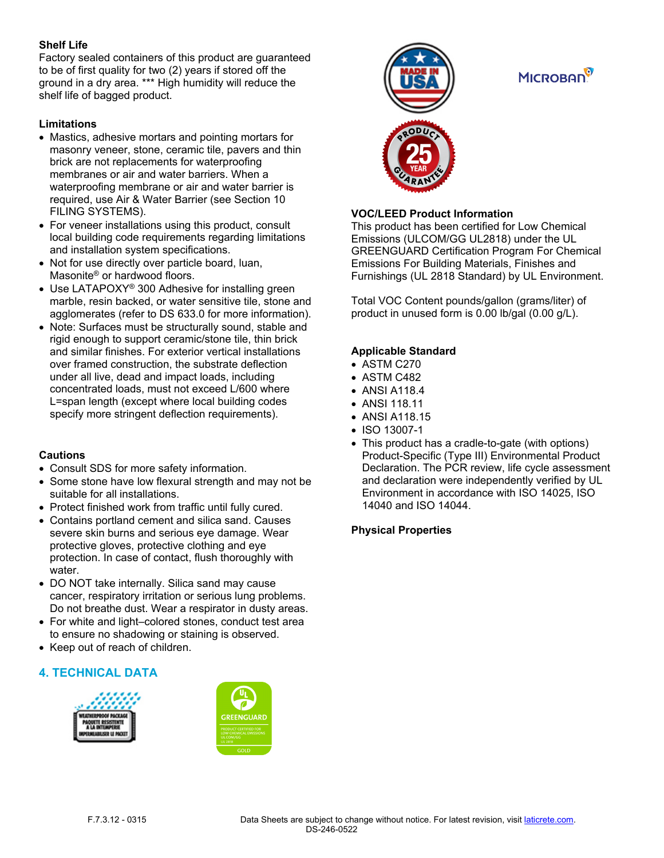# **Shelf Life**

Factory sealed containers of this product are guaranteed to be of first quality for two (2) years if stored off the ground in a dry area. \*\*\* High humidity will reduce the shelf life of bagged product.

# **Limitations**

- Mastics, adhesive mortars and pointing mortars for masonry veneer, stone, ceramic tile, pavers and thin brick are not replacements for waterproofing membranes or air and water barriers. When a waterproofing membrane or air and water barrier is required, use Air & Water Barrier (see Section 10 FILING SYSTEMS).
- For veneer installations using this product, consult local building code requirements regarding limitations and installation system specifications.
- Not for use directly over particle board, luan, Masonite® or hardwood floors.
- Use LATAPOXY<sup>®</sup> 300 Adhesive for installing green marble, resin backed, or water sensitive tile, stone and agglomerates (refer to DS 633.0 for more information).
- Note: Surfaces must be structurally sound, stable and rigid enough to support ceramic/stone tile, thin brick and similar finishes. For exterior vertical installations over framed construction, the substrate deflection under all live, dead and impact loads, including concentrated loads, must not exceed L/600 where L=span length (except where local building codes specify more stringent deflection requirements).

# **Cautions**

- Consult SDS for more safety information.
- Some stone have low flexural strength and may not be suitable for all installations.
- Protect finished work from traffic until fully cured.
- Contains portland cement and silica sand. Causes severe skin burns and serious eye damage. Wear protective gloves, protective clothing and eye protection. In case of contact, flush thoroughly with water.
- DO NOT take internally. Silica sand may cause cancer, respiratory irritation or serious lung problems. Do not breathe dust. Wear a respirator in dusty areas.
- For white and light–colored stones, conduct test area to ensure no shadowing or staining is observed.
- Keep out of reach of children.

# **4. TECHNICAL DATA**







# **MICROBAD**<sup>9</sup>



# **VOC/LEED Product Information**

This product has been certified for Low Chemical Emissions (ULCOM/GG UL2818) under the UL GREENGUARD Certification Program For Chemical Emissions For Building Materials, Finishes and Furnishings (UL 2818 Standard) by UL Environment.

Total VOC Content pounds/gallon (grams/liter) of product in unused form is 0.00 lb/gal (0.00 g/L).

# **Applicable Standard**

- ASTM C270
- ASTM C482
- ANSI A118.4
- ANSI 118.11
- ANSI A118.15
- ISO 13007-1
- This product has a cradle-to-gate (with options) Product-Specific (Type III) Environmental Product Declaration. The PCR review, life cycle assessment and declaration were independently verified by UL Environment in accordance with ISO 14025, ISO 14040 and ISO 14044.

# **Physical Properties**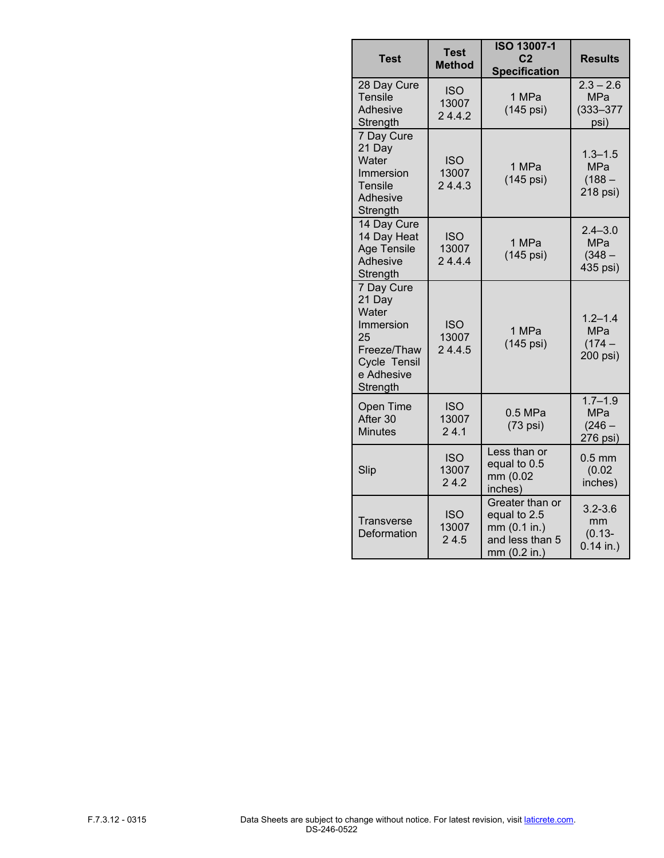| Test                                                                                                      | <b>Test</b><br><b>Method</b>  | <b>ISO 13007-1</b><br>C <sub>2</sub><br><b>Specification</b>                       | <b>Results</b>                                     |
|-----------------------------------------------------------------------------------------------------------|-------------------------------|------------------------------------------------------------------------------------|----------------------------------------------------|
| 28 Day Cure<br><b>Tensile</b><br>Adhesive<br>Strength                                                     | <b>ISO</b><br>13007<br>24.4.2 | 1 MPa<br>(145 psi)                                                                 | $2.3 - 2.6$<br><b>MPa</b><br>$(333 - 377)$<br>psi) |
| 7 Day Cure<br>21 Day<br>Water<br>Immersion<br>Tensile<br>Adhesive<br>Strength                             | <b>ISO</b><br>13007<br>24.4.3 | 1 MPa<br>(145 psi)                                                                 | $1.3 - 1.5$<br><b>MPa</b><br>$(188 -$<br>218 psi)  |
| 14 Day Cure<br>14 Day Heat<br><b>Age Tensile</b><br>Adhesive<br>Strength                                  | <b>ISO</b><br>13007<br>24.4.4 | 1 MPa<br>(145 psi)                                                                 | $2.4 - 3.0$<br><b>MPa</b><br>$(348 -$<br>435 psi)  |
| 7 Day Cure<br>21 Day<br>Water<br>Immersion<br>25<br>Freeze/Thaw<br>Cycle Tensil<br>e Adhesive<br>Strength | <b>ISO</b><br>13007<br>24.4.5 | 1 MPa<br>(145 psi)                                                                 | $1.2 - 1.4$<br><b>MPa</b><br>$(174 -$<br>200 psi)  |
| <b>Open Time</b><br>After 30<br><b>Minutes</b>                                                            | <b>ISO</b><br>13007<br>24.1   | $0.5$ MPa<br>$(73 \text{ psi})$                                                    | $1.7 - 1.9$<br><b>MPa</b><br>$(246 -$<br>276 psi)  |
| Slip                                                                                                      | <b>ISO</b><br>13007<br>24.2   | Less than or<br>equal to 0.5<br>mm (0.02<br>inches)                                | $0.5$ mm<br>(0.02)<br>inches)                      |
| Transverse<br>Deformation                                                                                 | <b>ISO</b><br>13007<br>24.5   | Greater than or<br>equal to 2.5<br>mm (0.1 in.)<br>and less than 5<br>mm (0.2 in.) | $3.2 - 3.6$<br>mm<br>$(0.13 -$<br>$0.14$ in.)      |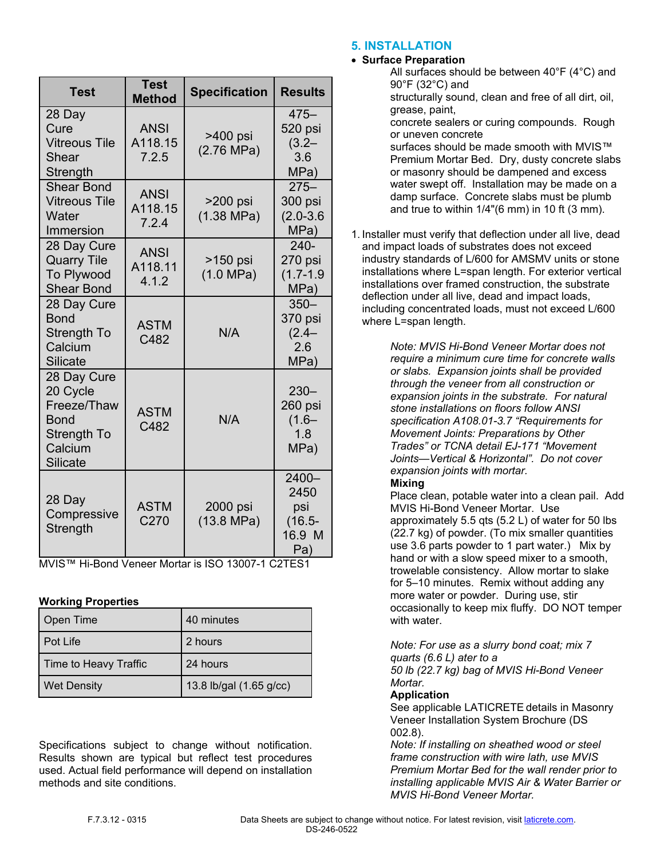| <b>Test</b>                                                                                 | <b>Test</b><br><b>Method</b>    | <b>Specification</b>             | <b>Results</b>                                     |
|---------------------------------------------------------------------------------------------|---------------------------------|----------------------------------|----------------------------------------------------|
| 28 Day<br>Cure<br><b>Vitreous Tile</b><br>Shear<br>Strength                                 | <b>ANSI</b><br>A118.15<br>7.2.5 | >400 psi<br>$(2.76 \text{ MPa})$ | $475 -$<br>520 psi<br>$(3.2 -$<br>3.6<br>MPa)      |
| <b>Shear Bond</b><br><b>Vitreous Tile</b><br>Water<br>Immersion                             | <b>ANSI</b><br>A118.15<br>7.2.4 | >200 psi<br>$(1.38 \text{ MPa})$ | $275 -$<br>300 psi<br>$(2.0 - 3.6)$<br>MPa)        |
| 28 Day Cure<br><b>Quarry Tile</b><br>To Plywood<br><b>Shear Bond</b>                        | <b>ANSI</b><br>A118.11<br>4.1.2 | >150 psi<br>(1.0 MPa)            | $240 -$<br>270 psi<br>$(1.7 - 1.9)$<br>MPa)        |
| 28 Day Cure<br><b>Bond</b><br>Strength To<br>Calcium<br><b>Silicate</b>                     | <b>ASTM</b><br>C482             | N/A                              | $350 -$<br>370 psi<br>$(2.4 -$<br>2.6<br>MPa)      |
| 28 Day Cure<br>20 Cycle<br>Freeze/Thaw<br><b>Bond</b><br>Strength To<br>Calcium<br>Silicate | <b>ASTM</b><br>C482             | N/A                              | $230 -$<br>260 psi<br>$(1.6 -$<br>1.8<br>MPa)      |
| 28 Day<br>Compressive<br>Strength                                                           | <b>ASTM</b><br>C270             | 2000 psi<br>$(13.8 \text{ MPa})$ | 2400-<br>2450<br>psi<br>$(16.5 -$<br>16.9 M<br>Pa) |

MVIS™ Hi-Bond Veneer Mortar is ISO 13007-1 C2TES1

# **Working Properties**

| Open Time             | 40 minutes              |
|-----------------------|-------------------------|
| Pot Life              | 2 hours                 |
| Time to Heavy Traffic | 24 hours                |
| <b>Wet Density</b>    | 13.8 lb/gal (1.65 g/cc) |

Specifications subject to change without notification. Results shown are typical but reflect test procedures used. Actual field performance will depend on installation methods and site conditions.

# **5. INSTALLATION**

# • **Surface Preparation**

- All surfaces should be between 40°F (4°C) and 90°F (32°C) and structurally sound, clean and free of all dirt, oil, grease, paint, concrete sealers or curing compounds. Rough or uneven concrete surfaces should be made smooth with MVIS™ Premium Mortar Bed. Dry, dusty concrete slabs or masonry should be dampened and excess water swept off. Installation may be made on a damp surface. Concrete slabs must be plumb and true to within 1/4"(6 mm) in 10 ft (3 mm).
- 1. Installer must verify that deflection under all live, dead and impact loads of substrates does not exceed industry standards of L/600 for AMSMV units or stone installations where L=span length. For exterior vertical installations over framed construction, the substrate deflection under all live, dead and impact loads, including concentrated loads, must not exceed L/600 where L=span length.

*Note: MVIS Hi-Bond Veneer Mortar does not require a minimum cure time for concrete walls or slabs. Expansion joints shall be provided through the veneer from all construction or expansion joints in the substrate. For natural stone installations on floors follow ANSI specification A108.01-3.7 "Requirements for Movement Joints: Preparations by Other Trades" or TCNA detail EJ-171 "Movement Joints—Vertical & Horizontal". Do not cover expansion joints with mortar.*

# **Mixing**

Place clean, potable water into a clean pail. Add MVIS Hi-Bond Veneer Mortar. Use approximately 5.5 qts (5.2 L) of water for 50 lbs (22.7 kg) of powder. (To mix smaller quantities use 3.6 parts powder to 1 part water.) Mix by hand or with a slow speed mixer to a smooth, trowelable consistency. Allow mortar to slake for 5–10 minutes. Remix without adding any more water or powder. During use, stir occasionally to keep mix fluffy. DO NOT temper with water.

*Note: For use as a slurry bond coat; mix 7 quarts (6.6 L) ater to a* 

*50 lb (22.7 kg) bag of MVIS Hi-Bond Veneer Mortar.* 

# **Application**

See applicable LATICRETE details in Masonry Veneer Installation System Brochure (DS 002.8).

*Note: If installing on sheathed wood or steel frame construction with wire lath, use MVIS Premium Mortar Bed for the wall render prior to installing applicable MVIS Air & Water Barrier or MVIS Hi-Bond Veneer Mortar.*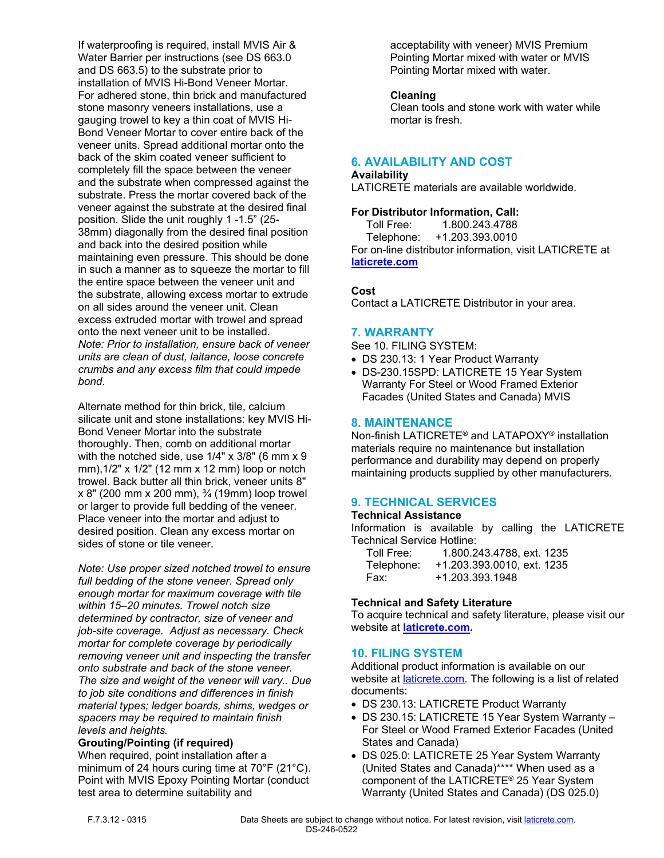If waterproofing is required, install MVIS Air & Water Barrier per instructions (see DS 663.0 and DS 663.5) to the substrate prior to installation of MVIS Hi-Bond Veneer Mortar. For adhered stone, thin brick and manufactured stone masonry veneers installations, use a gauging trowel to key a thin coat of MVIS Hi-Bond Veneer Mortar to cover entire back of the veneer units. Spread additional mortar onto the back of the skim coated veneer sufficient to completely fill the space between the veneer and the substrate when compressed against the substrate. Press the mortar covered back of the veneer against the substrate at the desired final position. Slide the unit roughly 1 -1.5" (25- 38mm) diagonally from the desired final position and back into the desired position while maintaining even pressure. This should be done in such a manner as to squeeze the mortar to fill the entire space between the veneer unit and the substrate, allowing excess mortar to extrude on all sides around the veneer unit. Clean excess extruded mortar with trowel and spread onto the next veneer unit to be installed. *Note: Prior to installation, ensure back of veneer units are clean of dust, laitance, loose concrete crumbs and any excess film that could impede bond.*

Alternate method for thin brick, tile, calcium silicate unit and stone installations: key MVIS Hi-Bond Veneer Mortar into the substrate thoroughly. Then, comb on additional mortar with the notched side, use 1/4" x 3/8" (6 mm x 9 mm),1/2" x 1/2" (12 mm x 12 mm) loop or notch trowel. Back butter all thin brick, veneer units 8" x 8" (200 mm x 200 mm), ¾ (19mm) loop trowel or larger to provide full bedding of the veneer. Place veneer into the mortar and adjust to desired position. Clean any excess mortar on sides of stone or tile veneer.

*Note: Use proper sized notched trowel to ensure full bedding of the stone veneer. Spread only enough mortar for maximum coverage with tile within 15–20 minutes. Trowel notch size determined by contractor, size of veneer and job-site coverage. Adjust as necessary. Check mortar for complete coverage by periodically removing veneer unit and inspecting the transfer onto substrate and back of the stone veneer. The size and weight of the veneer will vary.. Due to job site conditions and differences in finish material types; ledger boards, shims, wedges or spacers may be required to maintain finish levels and heights.*

#### **Grouting/Pointing (if required)**

When required, point installation after a minimum of 24 hours curing time at 70°F (21°C). Point with MVIS Epoxy Pointing Mortar (conduct test area to determine suitability and

acceptability with veneer) MVIS Premium Pointing Mortar mixed with water or MVIS Pointing Mortar mixed with water.

# **Cleaning**

Clean tools and stone work with water while mortar is fresh.

# **6. AVAILABILITY AND COST**

# **Availability**

LATICRETE materials are available worldwide.

# **For Distributor Information, Call:**

 Toll Free: 1.800.243.4788 Telephone: +1.203.393.0010 For on-line distributor information, visit LATICRETE at **[laticrete.com](https://laticrete.com/)**

# **Cost**

Contact a LATICRETE Distributor in your area.

# **7. WARRANTY**

See 10. FILING SYSTEM:

- DS 230.13: 1 Year Product Warranty
- DS-230.15SPD: LATICRETE 15 Year System Warranty For Steel or Wood Framed Exterior Facades (United States and Canada) MVIS

#### **8. MAINTENANCE**

Non-finish LATICRETE® and LATAPOXY® installation materials require no maintenance but installation performance and durability may depend on properly maintaining products supplied by other manufacturers.

# **9. TECHNICAL SERVICES**

#### **Technical Assistance**

Information is available by calling the LATICRETE Technical Service Hotline:

| Toll Free: | 1.800.243.4788, ext. 1235  |
|------------|----------------------------|
| Telephone: | +1.203.393.0010. ext. 1235 |
| Fax:       | +1.203.393.1948            |

#### **Technical and Safety Literature**

To acquire technical and safety literature, please visit our website at **[laticrete.com](https://laticrete.com/).**

# **10. FILING SYSTEM**

Additional product information is available on our website at **[laticrete.com](https://laticrete.com/)**. The following is a list of related documents:

- DS 230.13: LATICRETE Product Warranty
- DS 230.15: LATICRETE 15 Year System Warranty For Steel or Wood Framed Exterior Facades (United States and Canada)
- DS 025.0: LATICRETE 25 Year System Warranty (United States and Canada)\*\*\*\* When used as a component of the LATICRETE® 25 Year System Warranty (United States and Canada) (DS 025.0)